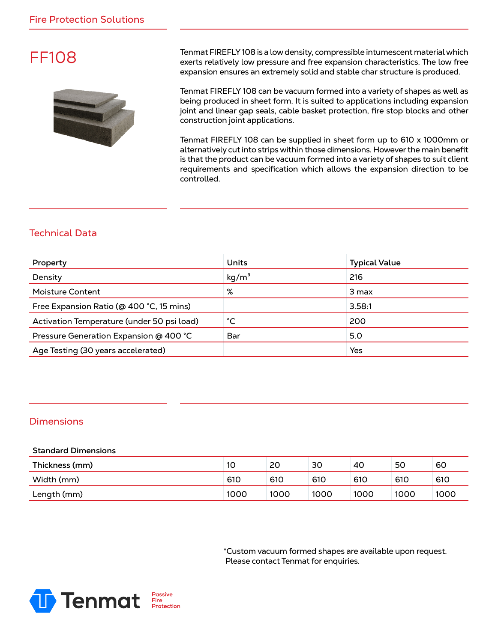## FF108



Tenmat FIREFLY 108 is a low density, compressible intumescent material which exerts relatively low pressure and free expansion characteristics. The low free expansion ensures an extremely solid and stable char structure is produced.

Tenmat FIREFLY 108 can be vacuum formed into a variety of shapes as well as being produced in sheet form. It is suited to applications including expansion joint and linear gap seals, cable basket protection, fire stop blocks and other construction joint applications.

Tenmat FIREFLY 108 can be supplied in sheet form up to 610 x 1000mm or alternatively cut into strips within those dimensions. However the main benefit is that the product can be vacuum formed into a variety of shapes to suit client requirements and specification which allows the expansion direction to be controlled.

### Technical Data

| Property                                   | <b>Units</b>      | <b>Typical Value</b> |
|--------------------------------------------|-------------------|----------------------|
| Density                                    | kg/m <sup>3</sup> | 216                  |
| <b>Moisture Content</b>                    | %                 | 3 max                |
| Free Expansion Ratio (@ 400 °C, 15 mins)   |                   | 3.58:1               |
| Activation Temperature (under 50 psi load) | °С                | 200                  |
| Pressure Generation Expansion @ 400 °C     | Bar               | 5.0                  |
| Age Testing (30 years accelerated)         |                   | Yes                  |

#### **Dimensions**

#### **Standard Dimensions**

| Thickness (mm) | 10   | 20   | 30   | 40   | 50   | 60   |
|----------------|------|------|------|------|------|------|
| Width (mm)     | 610  | 610  | 610  | 610  | 610  | 610  |
| Length (mm)    | 1000 | 1000 | 1000 | 1000 | 1000 | 1000 |

\*Custom vacuum formed shapes are available upon request. Please contact Tenmat for enquiries.

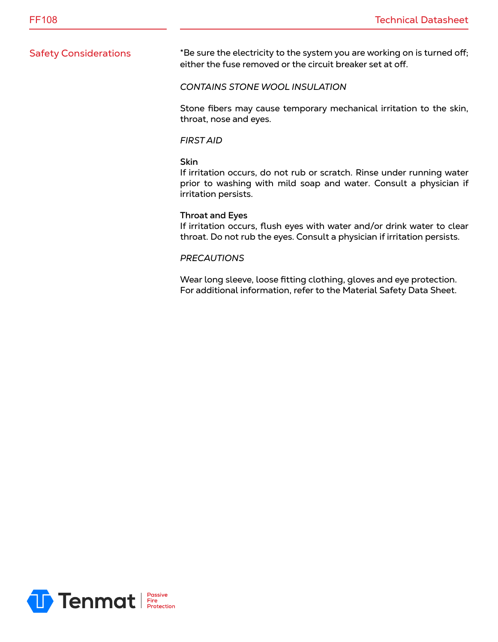Safety Considerations \*Be sure the electricity to the system you are working on is turned off; either the fuse removed or the circuit breaker set at off.

#### *CONTAINS STONE WOOL INSULATION*

Stone fibers may cause temporary mechanical irritation to the skin, throat, nose and eyes.

#### *FIRST AID*

#### **Skin**

If irritation occurs, do not rub or scratch. Rinse under running water prior to washing with mild soap and water. Consult a physician if irritation persists.

#### **Throat and Eyes**

If irritation occurs, flush eyes with water and/or drink water to clear throat. Do not rub the eyes. Consult a physician if irritation persists.

#### *PRECAUTIONS*

Wear long sleeve, loose fitting clothing, gloves and eye protection. For additional information, refer to the Material Safety Data Sheet.